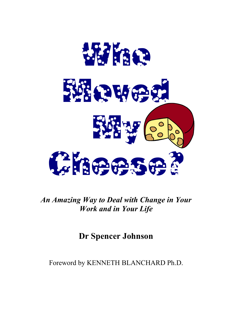

*An Amazing Way to Deal with Change in Your Work and in Your Life* 

**Dr Spencer Johnson** 

Foreword by KENNETH BLANCHARD Ph.D.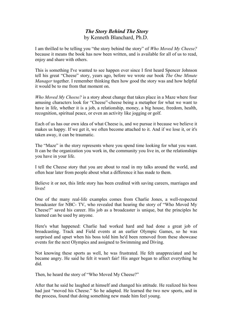#### *The Story Behind The Story*  by Kenneth Blanchard, Ph.D.

I am thrilled to be telling you "the story behind the story" of *Who Moved My Cheese?* because it means the book has now been written, and is available for all of us to read, enjoy and share with others.

This is something I've wanted to see happen ever since I first heard Spencer Johnson tell his great "Cheese" story, years ago, before we wrote our book *The One Minute Manager* together. I remember thinking then how good the story was and how helpful it would be to me from that moment on.

*Who Moved My Cheese?* is a story about change that takes place in a Maze where four amusing characters look for "Cheese"-cheese being a metaphor for what we want to have in life, whether it is a job, a relationship, money, a big house, freedom, health, recognition, spiritual peace, or even an activity like jogging or golf.

Each of us has our own idea of what Cheese is, and we pursue it because we believe it makes us happy. If we get it, we often become attached to it. And if we lose it, or it's taken away, it can be traumatic.

The "Maze" in the story represents where you spend time looking for what you want. It can be the organization you work in, the community you live in, or the relationships you have in your life.

I tell the Cheese story that you are about to read in my talks around the world, and often hear later from people about what a difference it has made to them.

Believe it or not, this little story has been credited with saving careers, marriages and lives!

One of the many real-life examples comes from Charlie Jones, a well-respected broadcaster for NBC- TV, who revealed that hearing the story of "Who Moved My Cheese?" saved his career. His job as a broadcaster is unique, but the principles he learned can be used by anyone.

Here's what happened: Charlie had worked hard and had done a great job of broadcasting. Track and Field events at an earlier Olympic Games, so he was surprised and upset when his boss told him he'd been removed from these showcase events for the next Olympics and assigned to Swimming and Diving.

Not knowing these sports as well, he was frustrated. He felt unappreciated and he became angry. He said he felt it wasn't fair! His anger began to affect everything he did.

Then, he heard the story of "Who Moved My Cheese?"

After that he said he laughed at himself and changed his attitude. He realized his boss had just "moved his Cheese." So he adapted. He learned the two new sports, and in the process, found that doing something new made him feel young.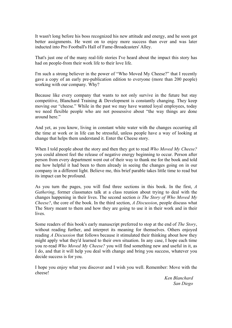It wasn't long before his boss recognized his new attitude and energy, and he soon got better assignments. He went on to enjoy more success than ever and was later inducted into Pro Football's Hall of Fame-Broadcasters' Alley.

That's just one of the many real-life stories I've heard about the impact this story has had on people-from their work life to their love life.

I'm such a strong believer in the power of "Who Moved My Cheese?" that I recently gave a copy of an early pre-publication edition to everyone (more than 200 people) working with our company. Why?

Because like every company that wants to not only survive in the future but stay competitive, Blanchard Training & Development is constantly changing. They keep moving our "cheese." While in the past we may have wanted loyal employees, today we need flexible people who are not possessive about "the way things are done around here."

And yet, as you know, living in constant white water with the changes occurring all the time at work or in life can be stressful, unless people have a way of looking at change that helps them understand it. Enter the Cheese story.

When I told people about the story and then they got to read *Who Moved My Cheese?* you could almost feel the release of negative energy beginning to occur. Person after person from every department went out of their way to thank me for the book and told me how helpful it had been to them already in seeing the changes going on in our company in a different light. Believe me, this brief parable takes little time to read but its impact can be profound.

As you turn the pages, you will find three sections in this book. In the first, *A Gathering*, former classmates talk at a class reunion about trying to deal with the changes happening in their lives. The second section *is The Story of Who Moved My Cheese?*, the core of the book. In the third section, *A Discussion*, people discuss what The Story meant to them and how they are going to use it in their work and in their **lives** 

Some readers of this book's early manuscript preferred to stop at the end of *The Story*, without reading further, and interpret its meaning for themselves. Others enjoyed reading *A Discussion* that follows because it stimulated their thinking about how they might apply what they'd learned to their own situation. In any case, I hope each time you re-read *Who Moved My Cheese?* you will find something new and useful in it, as I do, and that it will help you deal with change and bring you success, whatever you decide success is for you.

I hope you enjoy what you discover and I wish you well. Remember: Move with the cheese!

> *Ken Blanchard San Diego*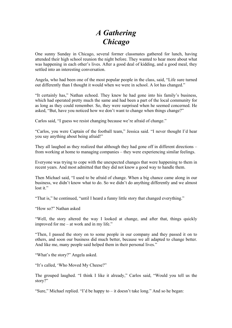## *A Gathering Chicago*

One sunny Sunday in Chicago, several former classmates gathered for lunch, having attended their high school reunion the night before. They wanted to hear more about what was happening in each other's lives. After a good deal of kidding, and a good meal, they settled into an interesting conversation.

Angela, who had been one of the most popular people in the class, said, "Life sure turned out differently than I thought it would when we were in school. A lot has changed."

"It certainly has," Nathan echoed. They knew he had gone into his family's business, which had operated pretty much the same and had been a part of the local community for as long as they could remember. So, they were surprised when he seemed concerned. He asked, "But, have you noticed how we don't want to change when things change?"

Carlos said, "I guess we resist changing because we're afraid of change."

"Carlos, you were Captain of the football team," Jessica said. "I never thought I'd hear you say anything about being afraid!"

They all laughed as they realized that although they had gone off in different directions – from working at home to managing companies – they were experiencing similar feelings.

Everyone was trying to cope with the unexpected changes that were happening to them in recent years. And most admitted that they did not know a good way to handle them.

Then Michael said, "I used to be afraid of change. When a big chance came along in our business, we didn't know what to do. So we didn't do anything differently and we almost lost it."

"That is," he continued, "until I heard a funny little story that changed everything."

"How so?" Nathan asked

"Well, the story altered the way I looked at change, and after that, things quickly improved for me – at work and in my life."

"Then, I passed the story on to some people in our company and they passed it on to others, and soon our business did much better, because we all adapted to change better. And like me, many people said helped them in their personal lives."

"What's the story?" Angela asked.

"It's called, 'Who Moved My Cheese?"

The grouped laughed. "I think I like it already," Carlos said, "Would you tell us the story?"

"Sure," Michael replied. "I'd be happy to – it doesn't take long." And so he began: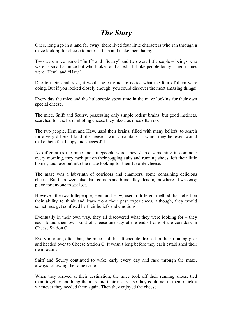## *The Story*

Once, long ago in a land far away, there lived four little characters who ran through a maze looking for cheese to nourish then and make them happy.

Two were mice named "Sniff" and "Scurry" and two were littlepeople – beings who were as small as mice but who looked and acted a lot like people today. Their names were "Hem" and "Haw".

Due to their small size, it would be easy not to notice what the four of them were doing. But if you looked closely enough, you could discover the most amazing things!

Every day the mice and the littlepeople spent time in the maze looking for their own special cheese.

The mice, Sniff and Scurry, possessing only simple rodent brains, but good instincts, searched for the hard nibbling cheese they liked, as mice often do.

The two people, Hem and Haw, used their brains, filled with many beliefs, to search for a very different kind of Cheese – with a capital  $C$  – which they believed would make them feel happy and successful.

As different as the mice and littlepeople were, they shared something in common: every morning, they each put on their jogging suits and running shoes, left their little homes, and race out into the maze looking for their favorite cheese.

The maze was a labyrinth of corridors and chambers, some containing delicious cheese. But there were also dark corners and blind alleys leading nowhere. It was easy place for anyone to get lost.

However, the two littlepeople, Hem and Haw, used a different method that relied on their ability to think and learn from their past experiences, although, they would sometimes get confused by their beliefs and emotions.

Eventually in their own way, they all discovered what they were looking for – they each found their own kind of cheese one day at the end of one of the corridors in Cheese Station C.

Every morning after that, the mice and the littlepeople dressed in their running gear and headed over to Cheese Station C. It wasn't long before they each established their own routine.

Sniff and Scurry continued to wake early every day and race through the maze, always following the same route.

When they arrived at their destination, the mice took off their running shoes, tied them together and hung them around their necks – so they could get to them quickly whenever they needed them again. Then they enjoyed the cheese.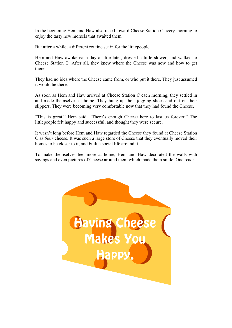In the beginning Hem and Haw also raced toward Cheese Station C every morning to enjoy the tasty new morsels that awaited them.

But after a while, a different routine set in for the littlepeople.

Hem and Haw awoke each day a little later, dressed a little slower, and walked to Cheese Station C. After all, they knew where the Cheese was now and how to get there.

They had no idea where the Cheese came from, or who put it there. They just assumed it would be there.

As soon as Hem and Haw arrived at Cheese Station C each morning, they settled in and made themselves at home. They hung up their jogging shoes and out on their slippers. They were becoming very comfortable now that they had found the Cheese.

"This is great," Hem said. "There's enough Cheese here to last us forever." The littlepeople felt happy and successful, and thought they were secure.

It wasn't long before Hem and Haw regarded the Cheese they found at Cheese Station C as *their* cheese. It was such a large store of Cheese that they eventually moved their homes to be closer to it, and built a social life around it.

To make themselves feel more at home, Hem and Haw decorated the walls with sayings and even pictures of Cheese around them which made them smile. One read:

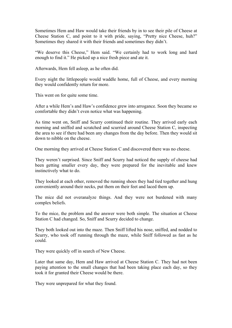Sometimes Hem and Haw would take their friends by in to see their pile of Cheese at Cheese Station C, and point to it with pride, saying, "Pretty nice Cheese, huh?" Sometimes they shared it with their friends and sometimes they didn't.

"We deserve this Cheese," Hem said. "We certainly had to work long and hard enough to find it." He picked up a nice fresh piece and ate it.

Afterwards, Hem fell asleep, as he often did.

Every night the littlepeople would waddle home, full of Cheese, and every morning they would confidently return for more.

This went on for quite some time.

After a while Hem's and Haw's confidence grew into arrogance. Soon they became so comfortable they didn't even notice what was happening.

As time went on, Sniff and Scurry continued their routine. They arrived early each morning and sniffed and scratched and scurried around Cheese Station C, inspecting the area to see if there had been any changes from the day before. Then they would sit down to nibble on the cheese.

One morning they arrived at Cheese Station C and discovered there was no cheese.

They weren't surprised. Since Sniff and Scurry had noticed the supply of cheese had been getting smaller every day, they were prepared for the inevitable and knew instinctively what to do.

They looked at each other, removed the running shoes they had tied together and hung conveniently around their necks, put them on their feet and laced them up.

The mice did not overanalyze things. And they were not burdened with many complex beliefs.

To the mice, the problem and the answer were both simple. The situation at Cheese Station C had changed. So, Sniff and Scurry decided to change.

They both looked out into the maze. Then Sniff lifted his nose, sniffed, and nodded to Scurry, who took off running through the maze, while Sniff followed as fast as he could.

They were quickly off in search of New Cheese.

Later that same day, Hem and Haw arrived at Cheese Station C. They had not been paying attention to the small changes that had been taking place each day, so they took it for granted their Cheese would be there.

They were unprepared for what they found.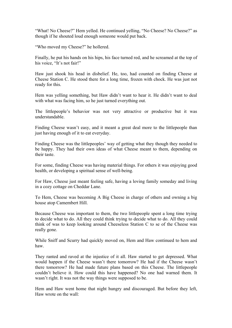"What! No Cheese?" Hem yelled. He continued yelling, "No Cheese? No Cheese?" as though if he shouted loud enough someone would put back.

"Who moved my Cheese?" he hollered.

Finally, he put his hands on his hips, his face turned red, and he screamed at the top of his voice, "It's not fair!"

Haw just shook his head in disbelief. He, too, had counted on finding Cheese at Cheese Station C. He stood there for a long time, frozen with chock. He was just not ready for this.

Hem was yelling something, but Haw didn't want to hear it. He didn't want to deal with what was facing him, so he just turned everything out.

The littlepeople's behavior was not very attractive or productive but it was understandable.

Finding Cheese wasn't easy, and it meant a great deal more to the littlepeople than just having enough of it to eat everyday.

Finding Cheese was the littlepeoples' way of getting what they though they needed to be happy. They had their own ideas of what Cheese meant to them, depending on their taste.

For some, finding Cheese was having material things. For others it was enjoying good health, or developing a spiritual sense of well-being.

For Haw, Cheese just meant feeling safe, having a loving family someday and living in a cozy cottage on Cheddar Lane.

To Hem, Cheese was becoming A Big Cheese in charge of others and owning a big house atop Camembert Hill.

Because Cheese was important to them, the two littlepeople spent a long time trying to decide what to do. All they could think trying to decide what to do. All they could think of was to keep looking around Cheeseless Station C to se of the Cheese was really gone.

While Sniff and Scurry had quickly moved on, Hem and Haw continued to hem and haw.

They ranted and raved at the injustice of it all. Haw started to get depressed. What would happen if the Cheese wasn't there tomorrow? He had if the Cheese wasn't there tomorrow? He had made future plans based on this Cheese. The littlepeople couldn't believe it. How could this have happened? No one had warned them. It wasn't right. It was not the way things were supposed to be.

Hem and Haw went home that night hungry and discouraged. But before they left, Haw wrote on the wall: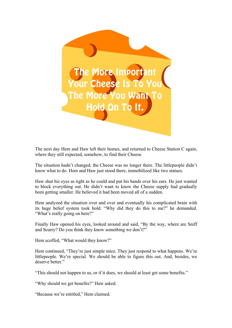

The next day Hem and Haw left their homes, and returned to Cheese Station C again, where they still expected, somehow, to find their Cheese.

The situation hadn't changed, the Cheese was no longer there. The littlepeople didn't know what to do. Hem and Haw just stood there, immobilized like two statues.

Haw shut his eyes as tight as he could and put his hands over his ears. He just wanted to block everything out. He didn't want to know the Cheese supply had gradually been getting smaller. He believed it had been moved all of a sudden.

Hem analyzed the situation over and over and eventually his complicated brain with its huge belief system took hold. "Why did they do this to me?" he demanded. "What's really going on here?"

Finally Haw opened his eyes, looked around and said, "By the way, where are Sniff and Scurry? Do you think they know something we don't?"

Hem scoffed, "What would they know?"

Hem continued, "They're just simple mice. They just respond to what happens. We're littlepeople. We're special. We should be able to figure this out. And, besides, we deserve better."

"This should not happen to us, or if it does, we should at least get some benefits."

"Why should we get benefits?" Haw asked.

"Because we're entitled," Hem claimed.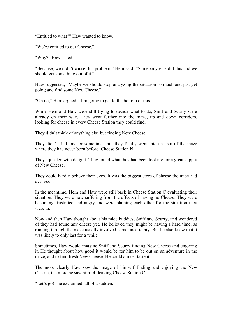"Entitled to what?" Haw wanted to know.

"We're entitled to our Cheese."

"Why?" Haw asked.

"Because, we didn't cause this problem," Hem said. "Somebody else did this and we should get something out of it."

Haw suggested, "Maybe we should stop analyzing the situation so much and just get going and find some New Cheese."

"Oh no," Hem argued. "I'm going to get to the bottom of this."

While Hem and Haw were still trying to decide what to do, Sniff and Scurry were already on their way. They went further into the maze, up and down corridors, looking for cheese in every Cheese Station they could find.

They didn't think of anything else but finding New Cheese.

They didn't find any for sometime until they finally went into an area of the maze where they had never been before: Cheese Station N.

They squealed with delight. They found what they had been looking for a great supply of New Cheese.

They could hardly believe their eyes. It was the biggest store of cheese the mice had ever seen.

In the meantime, Hem and Haw were still back in Cheese Station C evaluating their situation. They were now suffering from the effects of having no Cheese. They were becoming frustrated and angry and were blaming each other for the situation they were in.

Now and then Haw thought about his mice buddies, Sniff and Scurry, and wondered of they had found any cheese yet. He believed they might be having a hard time, as running through the maze usually involved some uncertainty. But he also knew that it was likely to only last for a while.

Sometimes, Haw would imagine Sniff and Scurry finding New Cheese and enjoying it. He thought about how good it would be for him to be out on an adventure in the maze, and to find fresh New Cheese. He could almost taste it.

The more clearly Haw saw the image of himself finding and enjoying the New Cheese, the more he saw himself leaving Cheese Station C.

"Let's go!" he exclaimed, all of a sudden.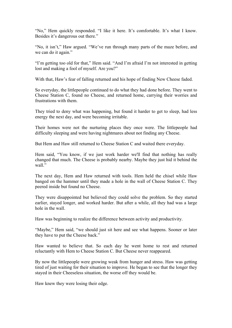"No," Hem quickly responded. "I like it here. It's comfortable. It's what I know. Besides it's dangerous out there."

"No, it isn't," Haw argued. "We've run through many parts of the maze before, and we can do it again."

"I'm getting too old for that," Hem said. "And I'm afraid I'm not interested in getting lost and making a fool of myself. Are you?"

With that, Haw's fear of falling returned and his hope of finding New Cheese faded.

So everyday, the littlepeople continued to do what they had done before. They went to Cheese Station C, found no Cheese, and returned home, carrying their worries and frustrations with them.

They tried to deny what was happening, but found it harder to get to sleep, had less energy the next day, and were becoming irritable.

Their homes were not the nurturing places they once were. The littlepeople had difficulty sleeping and were having nightmares about not finding any Cheese.

But Hem and Haw still returned to Cheese Station C and waited there everyday.

Hem said, "You know, if we just work harder we'll find that nothing has really changed that much. The Cheese is probably nearby. Maybe they just hid it behind the wall"

The next day, Hem and Haw returned with tools. Hem held the chisel while Haw banged on the hammer until they made a hole in the wall of Cheese Station C. They peered inside but found no Cheese.

They were disappointed but believed they could solve the problem. So they started earlier, stayed longer, and worked harder. But after a while, all they had was a large hole in the wall.

Haw was beginning to realize the difference between activity and productivity.

"Maybe," Hem said, "we should just sit here and see what happens. Sooner or later they have to put the Cheese back."

Haw wanted to believe that. So each day he went home to rest and returned reluctantly with Hem to Cheese Station C. But Cheese never reappeared.

By now the littlepeople were growing weak from hunger and stress. Haw was getting tired of just waiting for their situation to improve. He began to see that the longer they stayed in their Cheeseless situation, the worse off they would be.

Haw knew they were losing their edge.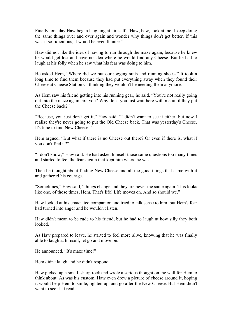Finally, one day Haw began laughing at himself. "Haw, haw, look at me. I keep doing the same things over and over again and wonder why things don't get better. If this wasn't so ridiculous, it would be even funnier."

Haw did not like the idea of having to run through the maze again, because he knew he would get lost and have no idea where he would find any Cheese. But he had to laugh at his folly when he saw what his fear was doing to him.

He asked Hem, "Where did we put our jogging suits and running shoes?" It took a long time to find them because they had put everything away when they found their Cheese at Cheese Station C, thinking they wouldn't be needing them anymore.

As Hem saw his friend getting into his running gear, he said, "You're not really going out into the maze again, are you? Why don't you just wait here with me until they put the Cheese back?"

"Because, you just don't get it," Haw said. "I didn't want to see it either, but now I realize they're never going to put the Old Cheese back. That was yesterday's Cheese. It's time to find New Cheese."

Hem argued, "But what if there is no Cheese out there? Or even if there is, what if you don't find it?"

"I don't know," Haw said. He had asked himself those same questions too many times and started to feel the fears again that kept him where he was.

Then he thought about finding New Cheese and all the good things that came with it and gathered his courage.

"Sometimes," Haw said, "things change and they are never the same again. This looks like one, of those times, Hem. That's life! Life moves on. And so should we."

Haw looked at his emaciated companion and tried to talk sense to him, but Hem's fear had turned into anger and he wouldn't listen.

Haw didn't mean to be rude to his friend, but he had to laugh at how silly they both looked.

As Haw prepared to leave, he started to feel more alive, knowing that he was finally able to laugh at himself, let go and move on.

He announced, "It's maze time!"

Hem didn't laugh and he didn't respond.

Haw picked up a small, sharp rock and wrote a serious thought on the wall for Hem to think about. As was his custom, Haw even drew a picture of cheese around it, hoping it would help Hem to smile, lighten up, and go after the New Cheese. But Hem didn't want to see it. It read: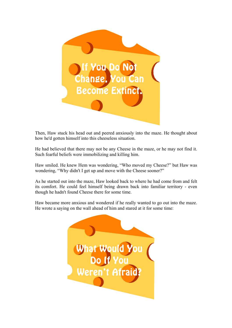

Then, Haw stuck his head out and peered anxiously into the maze. He thought about how he'd gotten himself into this cheeseless situation.

He had believed that there may not be any Cheese in the maze, or he may not find it. Such fearful beliefs were immobilizing and killing him.

Haw smiled. He knew Hem was wondering, "Who moved my Cheese?" but Haw was wondering, "Why didn't I get up and move with the Cheese sooner?"

As he started out into the maze, Haw looked back to where he had come from and felt its comfort. He could feel himself being drawn back into familiar territory - even though he hadn't found Cheese there for some time.

Haw became more anxious and wondered if he really wanted to go out into the maze. He wrote a saying on the wall ahead of him and stared at it for some time:

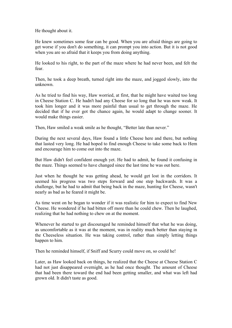He thought about it.

He knew sometimes some fear can be good. When you are afraid things are going to get worse if you don't do something, it can prompt you into action. But it is not good when you are so afraid that it keeps you from doing anything.

He looked to his right, to the part of the maze where he had never been, and felt the fear.

Then, he took a deep breath, turned right into the maze, and jogged slowly, into the unknown.

As he tried to find his way, Haw worried, at first, that he might have waited too long in Cheese Station C. He hadn't had any Cheese for so long that he was now weak. It took him longer and it was more painful than usual to get through the maze. He decided that if he ever got the chance again, he would adapt to change sooner. It would make things easier.

Then, Haw smiled a weak smile as he thought, "Better late than never."

During the next several days, Haw found a little Cheese here and there, but nothing that lasted very long. He had hoped to find enough Cheese to take some back to Hem and encourage him to come out into the maze.

But Haw didn't feel confident enough yet. He had to admit, he found it confusing in the maze. Things seemed to have changed since the last time he was out here.

Just when he thought he was getting ahead, he would get lost in the corridors. It seemed his progress was two steps forward and one step backwards. It was a challenge, but he had to admit that being back in the maze, hunting for Cheese, wasn't nearly as bad as he feared it might be.

As time went on he began to wonder if it was realistic for him to expect to find New Cheese. He wondered if he had bitten off more than he could chew. Then he laughed, realizing that he had nothing to chew on at the moment.

Whenever he started to get discouraged he reminded himself that what he was doing, as uncomfortable as it was at the moment, was in reality much better than staying in the Cheeseless situation. He was taking control, rather than simply letting things happen to him.

Then he reminded himself, if Sniff and Scurry could move on, so could he!

Later, as Haw looked back on things, he realized that the Cheese at Cheese Station C had not just disappeared overnight, as he had once thought. The amount of Cheese that had been there toward the end had been getting smaller, and what was left had grown old. It didn't taste as good.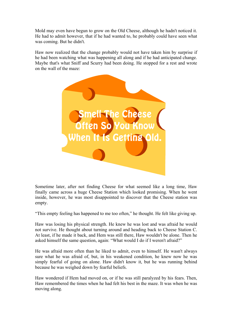Mold may even have begun to grow on the Old Cheese, although he hadn't noticed it. He had to admit however, that if he had wanted to, he probably could have seen what was coming. But he didn't.

Haw now realized that the change probably would not have taken him by surprise if he had been watching what was happening all along and if he had anticipated change. Maybe that's what Sniff and Scurry had been doing. He stopped for a rest and wrote on the wall of the maze:



Sometime later, after not finding Cheese for what seemed like a long time, Haw finally came across a huge Cheese Station which looked promising. When he went inside, however, he was most disappointed to discover that the Cheese station was empty.

"This empty feeling has happened to me too often," he thought. He felt like giving up.

Haw was losing his physical strength. He knew he was lost and was afraid he would not survive. He thought about turning around and heading back to Cheese Station C. At least, if he made it back, and Hem was still there, Haw wouldn't be alone. Then he asked himself the same question, again: "What would I do if I weren't afraid?"

He was afraid more often than he liked to admit, even to himself. He wasn't always sure what he was afraid of, but, in his weakened condition, he knew now he was simply fearful of going on alone. Haw didn't know it, but he was running behind because he was weighed down by fearful beliefs.

Haw wondered if Hem had moved on, or if he was still paralyzed by his fears. Then, Haw remembered the times when he had felt his best in the maze. It was when he was moving along.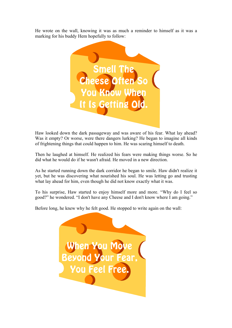He wrote on the wall, knowing it was as much a reminder to himself as it was a marking for his buddy Hem hopefully to follow:



Haw looked down the dark passageway and was aware of his fear. What lay ahead? Was it empty? Or worse, were there dangers lurking? He began to imagine all kinds of frightening things that could happen to him. He was scaring himself to death.

Then he laughed at himself. He realized his fears were making things worse. So he did what he would do if he wasn't afraid. He moved in a new direction.

As he started running down the dark corridor he began to smile. Haw didn't realize it yet, but he was discovering what nourished his soul. He was letting go and trusting what lay ahead for him, even though he did not know exactly what it was.

To his surprise, Haw started to enjoy himself more and more. "Why do I feel so good?" he wondered. "I don't have any Cheese and I don't know where I am going."

Before long, he knew why he felt good. He stopped to write again on the wall:

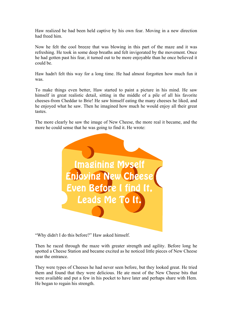Haw realized he had been held captive by his own fear. Moving in a new direction had freed him.

refreshing. He took in some deep breaths and felt invigorated by the movement. Once he had gotten past his fear, it turned out to be more enjoyable than he once believed it Now he felt the cool breeze that was blowing in this part of the maze and it was could be.

Haw hadn't felt this way for a long time. He had almost forgotten how much fun it was.

himself in great realistic detail, sitting in the middle of a pile of all his favorite heeses-from Cheddar to Brie! He saw himself eating the many cheeses he liked, and c To make things even better, Haw started to paint a picture in his mind. He saw he enjoyed what he saw. Then he imagined how much he would enjoy all their great tastes.

more he could sense that he was going to find it. He wrote: The more clearly he saw the image of New Cheese, the more real it became, and the



"Why didn't I do this before?" Haw asked himself.

Then he raced through the maze with greater strength and agility. Before long he spotted a Cheese Station and became excited as he noticed little pieces of New Cheese near the entrance.

them and found that they were delicious. He ate most of the New Cheese bits that were available and put a few in his pocket to have later and perhaps share with Hem. They were types of Cheeses he had never seen before, but they looked great. He tried He began to regain his strength.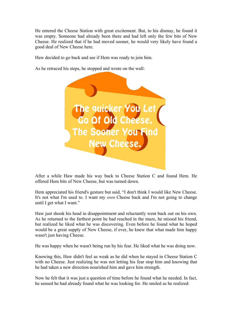He entered the Cheese Station with great excitement. But, to his dismay, he found it was empty. Someone had already been there and had left only the few bits of New Cheese. He realized that if he had moved sooner, he would very likely have found a good deal of New Cheese here.

Haw decided to go back and see if Hem was ready to join him.

As he retraced his steps, he stopped and wrote on the wall:



After a while Haw made his way back to Cheese Station C and found Hem. He offered Hem bits of New Cheese, but was turned down.

Hem appreciated his friend's gesture but said, "I don't think I would like New Cheese. It's not what I'm used to. I want my *own* Cheese back and I'm not going to change until I get what I want."

Haw just shook his head in disappointment and reluctantly went back out on his own. would be a great supply of New Cheese, if ever, he knew that what made him happy wasn't just having Cheese. As he returned to the farthest point he had reached in the maze, he missed his friend, but realized he liked what he was discovering. Even before he found what he hoped

He was happy when he wasn't being run by his fear. He liked what he was doing now.

with no Cheese. Just realizing he was not letting his fear stop him and knowing that he had taken a new direction nourished him and gave him strength. Knowing this, Haw didn't feel as weak as he did when he stayed in Cheese Station C

Now he felt that it was just a question of time before he found what he needed. In fact, he sensed he had already found what he was looking for. He smiled as he realized: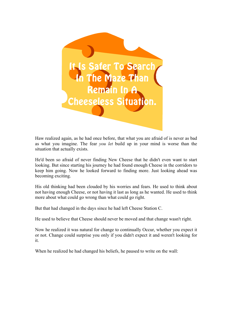

Haw realized again, as he had once before, that what you are afraid of is never as bad as what you imagine. The fear *you let* build up in your mind is worse than the situation that actually exists.

He'd been so afraid of never finding New Cheese that he didn't even want to start looking. But since starting his journey he had found enough Cheese in the corridors to keep him going. Now he looked forward to finding more. Just looking ahead was becoming exciting.

His old thinking had been clouded by his worries and fears. He used to think about not having enough Cheese, or not having it last as long as he wanted. He used to think more about what could go wrong than what could go right.

But that had changed in the days since he had left Cheese Station C.

He used to believe that Cheese should never be moved and that change wasn't right.

Now he realized it was natural for change to continually Occur, whether you expect it or not. Change could surprise you only if you didn't expect it and weren't looking for . it

When he realized he had changed his beliefs, he paused to write on the wall: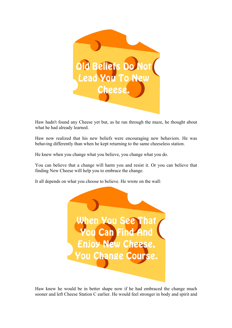

Haw hadn't found any Cheese yet but, as he ran through the maze, he thought about what he had already learned.

Haw now realized that his new beliefs were encouraging new behaviors. He was behaving differently than when he kept returning to the same cheeseless station.

He knew when you change what you believe, you change what you do.

You can believe that a change will harm you and resist it. Or you can believe that finding New Cheese will help you to embrace the change.

It all depends on what you choose to believe. He wrote on the wall:



Haw knew he would be in better shape now if he had embraced the change much sooner and left Cheese Station C earlier. He would feel stronger in body and spirit and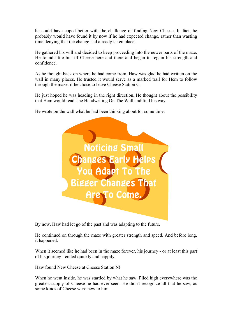he could have coped better with the challenge of finding New Cheese. In fact, he probably would have found it by now if he had expected change, rather than wasting time denying that the change had already taken place.

He gathered his will and decided to keep proceeding into the newer parts of the maze. He found little bits of Cheese here and there and began to regain his strength and confidence.

As he thought back on where he had come from, Haw was glad he had written on the wall in many places. He trusted it would serve as a marked trail for Hem to follow through the maze, if he chose to leave Cheese Station C.

He just hoped he was heading in the right direction. He thought about the possibility that Hem would read The Handwriting On The Wall and find his way.

He wrote on the wall what he had been thinking about for some time:



By now, Haw had let go of the past and was adapting to the future.

He continued on through the maze with greater strength and speed. And before long, it happened.

When it seemed like he had been in the maze forever, his journey - or at least this part of his journey - ended quickly and happily.

Haw found New Cheese at Cheese Station N!

greatest supply of Cheese he had ever seen. He didn't recognize all that he saw, as some kinds of Cheese were new to him. When he went inside, he was startled by what he saw. Piled high everywhere was the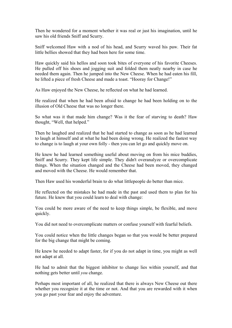Then he wondered for a moment whether it was real or just his imagination, until he saw his old friends Sniff and Scurry.

Sniff welcomed Haw with a nod of his head, and Scurry waved his paw. Their fat little bellies showed that they had been here for some time.

Haw quickly said his hellos and soon took bites of everyone of his favorite Cheeses. He pulled off his shoes and jogging suit and folded them neatly nearby in case he he lifted a piece of fresh Cheese and made a toast. "Hooray for Change!" needed them again. Then he jumped into the New Cheese. When he had eaten his fill,

As Haw enjoyed the New Cheese, he reflected on what he had learned.

He realized that when he had been afraid to change he had been holding on to the illusion of Old Cheese that was no longer there.

So what was it that made him change? Was it the fear of starving to death? Haw thought, "Well, that helped."

Then he laughed and realized that he had started to change as soon as he had learned to laugh at himself and at what he had been doing wrong. He realized the fastest way to change is to laugh at your own folly - then you can let go and quickly move on.

He knew he had learned something useful about moving on from his mice buddies, Sniff and Scurry. They kept life simple. They didn't overanalyze or overcomplicate things. When the situation changed and the Cheese had been moved, they changed and moved with the Cheese. He would remember that.

Then Haw used his wonderful brain to do what littlepeople do better than mice.

future. He knew that you could learn to deal with change: He reflected on the mistakes he had made in the past and used them to plan for his

You could be more aware of the need to keep things simple, be flexible, and move quickly.

You did not need to overcomplicate matters or confuse yourself with fearful beliefs.

for the big change that might be coming. You could notice when the little changes began so that you would be better prepared

He knew he needed to adapt faster, for if you do not adapt in time, you might as well not adapt at all.

He had to admit that the biggest inhibitor to change lies within yourself, and that nothing gets better until *you* change.

Perhaps most important of all, he realized that there is always New Cheese out there whether you recognize it at the time or not. And that you are rewarded with it when you go past your fear and enjoy the adventure.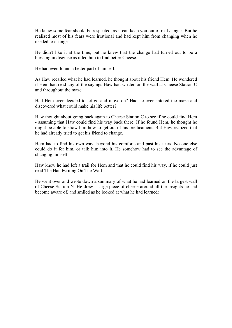He knew some fear should be respected, as it can keep you out of real danger. But he realized most of his fears were irrational and had kept him from changing when he needed to change.

blessing in disguise as it led him to find better Cheese. He didn't like it at the time, but he knew that the change had turned out to be a

He had even found a better part of himself.

As Haw recalled what he had learned, he thought about his friend Hem. He wondered if Hem had read any of the sayings Haw had written on the wall at Cheese Station C and throughout the maze.

Had Hem ever decided to let go and move on? Had he ever entered the maze and discovered what could make his life better?

- assuming that Haw could find his way back there. If he found Hem, he thought he might be able to show him how to get out of his predicament. But Haw realized that Haw thought about going back again to Cheese Station C to see if he could find Hem he had already tried to get his friend to change.

Hem had to find his own way, beyond his comforts and past his fears. No one else could do it for him, or talk him into it. He somehow had to see the advantage of changing himself.

Haw knew he had left a trail for Hem and that he could find his way, if he could just read The Handwriting On The Wall.

of Cheese Station N. He drew a large piece of cheese around all the insights he had become aware of, and smiled as he looked at what he had learned: He went over and wrote down a summary of what he had learned on the largest wall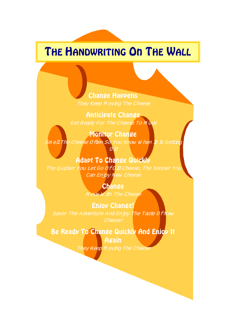# THE HANDWRITING ON THE WALL

## Change Happens

#### Anticipate Change GetReady For The Cheese To M ove

**Monitor Change** Sm ell The Cheese Often So You Know W hen It Is Getting

 $\overline{O}$  $\overline{M}$ 

### Adapt To Change Quickly

The Quicker You Let Go Of Q H Cheese, The Sooner You Can Enjoy New Cheese

#### **Change**

M ove W ith The Cheese

#### Enjoy Change!

Savor The Adventure And En by The Taste OfNew Cheese!

# Be Ready To Change Quickly And Enjoy It **Again**

They Keep <sup>M</sup> oving The Cheese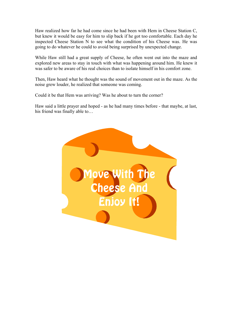Haw realized how far he had come since he had been with Hem in Cheese Station C, but knew it would be easy for him to slip back if he got too comfortable. Each day he inspected Cheese Station N to see what the condition of his Cheese was. He was going to do whatever he could to avoid being surprised by unexpected change.

While Haw still had a great supply of Cheese, he often went out into the maze and explored new areas to stay in touch with what was happening around him. He knew it was safer to be aware of his real choices than to isolate himself in his comfort zone.

Then, Haw heard what he thought was the sound of movement out in the maze. As the noise grew louder, he realized that someone was coming.

Could it be that Hem was arriving? Was he about to turn the corner?

Haw said a little prayer and hoped - as he had many times before - that maybe, at last, his friend was finally able to…

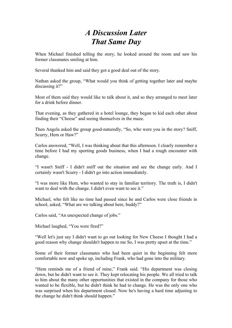## *A Discussion Later That Same Day*

When Michael finished telling the story, he looked around the room and saw his former classmates smiling at him.

Several thanked him and said they got a good deal out of the story.

Nathan asked the group, "What would you think of getting together later and maybe discus sing it?"

Most of them said they would like to talk about it, and so they arranged to meet later for a drink before dinner.

That evening, as they gathered in a hotel lounge, they began to kid each other about finding their "Cheese" and seeing themselves in the maze.

Then Angela asked the group good-naturedly, "So, who were you in the story? Sniff, Scurry, Hem or Haw?"

Carlos answered, "Well, I was thinking about that this afternoon. I clearly remember a time before I had my sporting goods business, when I had a rough encounter with change.

"I wasn't Sniff - I didn't sniff out the situation and see the change early. And I certainly wasn't Scurry - I didn't go into action immediately.

"I was more like Hem, who wanted to stay in familiar territory. The truth is, I didn't want to deal with the change. I didn't even want to see it."

Michael, who felt like no time had passed since he and Carlos were close friends in school, asked, "What are we talking about here, buddy?"

Carlos said, "An unexpected change of jobs."

Michael laughed, "You were fired?"

"Well let's just say I didn't want to go out looking for New Cheese I thought I had a good reason why change shouldn't happen to me So, I was pretty upset at the time."

Some of their former classmates who had been quiet in the beginning felt more comfortable now and spoke up, including Frank, who had gone into the military.

down, but he didn't want to see it. They kept relocating his people. We all tried to talk to him about the many other opportunities that existed in the company for those who was surprised when his department closed. Now he's having a hard time adjusting to the change he didn't think should happen." "Hem reminds me of a friend of mine," Frank said. "His department was closing wanted to be flexible, but he didn't think he had to change. He was the only one who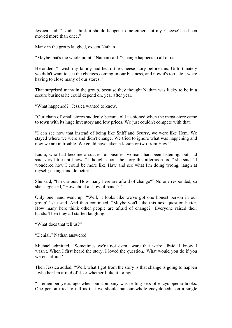Jessica said, "I didn't think it should happen to me either, but my 'Cheese' has been moved more than once."

Many in the group laughed, except Nathan.

"Maybe that's the whole point," Nathan said. "Change happens to all of us."

He added, "I wish my family had heard the Cheese story before this. Unfortunately we didn't want to see the changes coming in our business, and now it's too late - we're having to close many of our stores."

That surprised many in the group, because they thought Nathan was lucky to be in a secure business he could depend on, year after year.

"What happened?" Jessica wanted to know.

"Our chain of small stores suddenly became old fashioned when the mega-store came to town with its huge inventory and low prices. We just couldn't compete with that.

"I can see now that instead of being like Sniff and Scurry, we were like Hem. We stayed where we were and didn't change. We tried to ignore what was happening and now we are in trouble. We could have taken a lesson or two from Haw."

Laura, who had become a successful business-woman, had been listening, but had said very little until now. "I thought about the story this afternoon too," she said. "I wondered how I could be more like Haw and see what I'm doing wrong; laugh at myself; change and do better."

She said, "I'm curious. How many here are afraid of change?" No one responded, so she suggested, "How about a show of hands?"

Only one hand went up. "Well, it looks like we've got one honest person in our group!" she said. And then continued, "Maybe you'll like this next question better. How many here think other people are afraid of change?" Everyone raised their hands. Then they all started laughing.

"What does that tell us?"

"Denial," Nathan answere d.

Michael admitted, "Sometimes we're not even aware that we're afraid. I know I wasn't. When I first heard the story, I loved the question, 'What would you do if you weren't afraid?"

Then Jessica added, "Well, what I got from the story is that change is going to happen - whether I'm afraid of it, or whether I like it, or not.

One person tried to tell us that we should put our whole encyclopedia on a single "I remember years ago when our company was selling sets of encyclopedia books.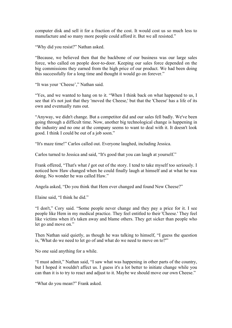computer disk and sell it for a fraction of the cost. It would cost us so much less to manufacture and so many more people could afford it. But we all resisted."

"Why did you resist?" Nathan asked.

Because, we believed then that the backbone of our business was our large sales " big commissions they earned from the high price of our product. We had been doing this successfully for a long time and thought it would go on forever." force, who called on people door-to-door. Keeping our sales force depended on the

"It was your 'Cheese'," Nathan said.

Yes, and we wanted to hang on to it. "When I think back on what happened to us, I " see that it's not just that they 'moved the Cheese,' but that the 'Cheese' has a life of its own and eventually runs out.

going through a difficult time. Now, another big technological change is happening in the industry and no one at the company seems to want to deal with it. It doesn't look "Anyway, we didn't change. But a competitor did and our sales fell badly. We've been good. I think I could be out of a job soon."

"It's maze time!" Carlos called out. Everyone laughed, including Jessica.

Carlos turned to Jessica and said, "It's good that you can laugh at yourself."

Frank offered, "That's what *I* got out of the story. I tend to take myself too seriously. I noticed how Haw changed when he could finally laugh at himself and at what he was doing. No wonder he was called Haw."

Angela asked, "Do you think that Hem ever changed and found New Cheese?"

Elaine said, "I think he did."

"I don't," Cory said. "Some people never change and they pay a price for it. I see people like Hem in my medical practice. They feel entitled to their 'Cheese.' They feel like victims when it's taken away and blame others. They get sicker than people who let go and move on."

is, 'What do we need to let go of and what do we need to move on to?'" Then Nathan said quietly, as though he was talking to himself, "I guess the question

No one said anything for a while.

"I must admit," Nathan said, "I saw what was happening in other parts of the country, but I hoped it wouldn't affect us. I guess it's a lot better to initiate change while you can than it is to try to react and adjust to it. Maybe we should move our own Cheese."

"What do you mean?" Frank asked.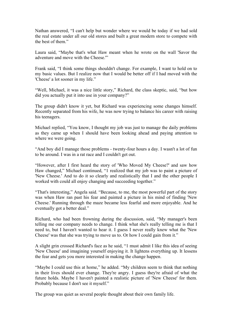Nathan answered, "I can't help but wonder where we would be today if we had sold the real estate under all our old stores and built a great modern store to compete with the best of them."

Laura said, "Maybe that's what Haw meant when he wrote on the wall 'Savor the adventure and move with the Cheese.'"

Frank said, "I think some things shouldn't change. For example, I want to hold on to my basic values. But I realize now that I would be better off if I had moved with the 'Cheese' a lot sooner in my life."

Well, Michael, it was a nice little story," Richard, the class skeptic, said, "but how " did you actually put it into use in your company?"

Recently separated from his wife, he was now trying to balance his career with raising his teenagers. The group didn't know it yet, but Richard was experiencing some changes himself.

Michael replied, "You know, I thought my job was just to manage the daily problems as they came up when I should have been looking ahead and paying attention to where we were going.

to be around. I was in a rat race and I couldn't get out. "And boy did I manage those problems - twenty-four hours a day. I wasn't a lot of fun

"However, after I first heard the story of 'Who Moved My Cheese?' and saw how Haw changed," Michael continued, "1 realized that my job was to paint a picture of 'New Cheese.' And to do it so clearly and realistically that I and the other people I worked with could all enjoy changing and succeeding together."

was when Haw ran past his fear and painted a picture in his mind of finding 'New Cheese.' Running through the maze became less fearful and more enjoyable. And he "That's interesting," Angela said. "Because, to me, the most powerful part of the story eventually got a better deal."

Richard, who had been frowning during the discussion, said, "My manager's been telling me our company needs to change. I think what she's really telling me is that I need to, but I haven't wanted to hear it. I guess I never really knew what the 'New Cheese' was that she was trying to move us to. Or how I could gain from it."

A slight grin crossed Richard's face as he said, "1 must admit I like this idea of seeing 'New Cheese' and imagining yourself enjoying it. It lightens everything up. It lessens the fear and gets you more interested in making the change happen.

future holds. Maybe I haven't painted a realistic picture of 'New Cheese' for them. Probably because I don't see it myself." "Maybe I could use this at home," he added. "My children seem to think that nothing in their lives should ever change. They're angry. I guess they're afraid of what the

The group was quiet as several people thought about their own family life.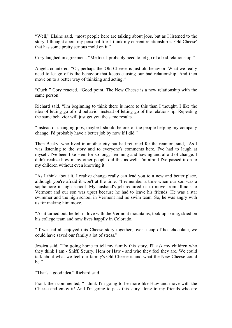"Well," Elaine said, "most people here are talking about jobs, but as I listened to the story, I thought about my personal life. I think my current relationship is 'Old Cheese' that has some pretty serious mold on it."

Cory laughed in agreement. "Me too. I probably need to let go of a bad relationship."

Angela countered, "Or, perhaps the 'Old Cheese' is just old behavior. What we really need to let go of is the behavior that keeps causing our bad relationship. And then move on to a better way of thinking and acting."

"Ouch!" Cory reacted. "Good point. The New Cheese is a new relationship with the same person."

idea of letting go of old behavior instead of letting go of the relationship. Repeating the same behavior will just get you the same results. Richard said, "I'm beginning to think there is more to this than I thought. I like the

"Instead of changing jobs, maybe I should be one of the people helping my company change. I'd probably have a better job by now if I did."

didn't realize how many other people did this as well. I'm afraid I've passed it on to my children without even knowing it. Then Becky, who lived in another city but had returned for the reunion, said, "As I was listening to the story and to everyone's comments here, I've had to laugh at myself. I've been like Hem for so long, hemming and hawing and afraid of change. I

"As I think about it, I realize change really can lead you to a new and better place, although you're afraid it won't at the time. "I remember a time when our son was a sophomore in high school. My husband's job required us to move from Illinois to Vermont and our son was upset because he had to leave his friends. He was a star swimmer and the high school in Vermont had no swim team. So, he was angry with us for making him move.

As it turned out, he fell in love with the Vermont mountains, took up skiing, skied on " his college team and now lives happily in Colorado.

"If we had all enjoyed this Cheese story together, over a cup of hot chocolate, we could have saved our family a lot of stress."

Jessica said, "I'm going home to tell my family this story. I'll ask my children who be." they think I am - Sniff, Scurry, Hem or Haw - and who they feel they are. We could talk about what we feel our family's Old Cheese is and what the New Cheese could

"That's a good idea," Richard said.

Frank then commented, "I think I'm going to be more like Haw and move with the Cheese and enjoy it! And I'm going to pass this story along to my friends who are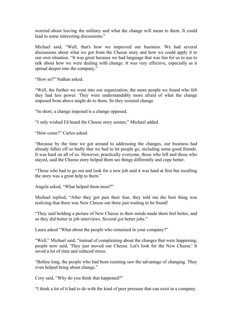worried about leaving the military and what the change will mean to them. It could lead to some interesting discussions."

Michael said, "Well, that's how we improved our business. We had several discussions about what we got from the Cheese story and how we could apply it to spread deeper into the company." our own situation. "It was great because we had language that was fun for us to use to talk about how we were dealing with change. It was very effective, especially as it

"How so?" Nathan asked.

Well, the further we went into our organization, the more people we found who felt " they had less power. They were understandably more afraid of what the change imposed from above might do to them. So they resisted change.

"In short, a change imposed is a change opposed.

"I only wished I'd heard the Cheese story sooner," Michael added.

"How come?" Carlos asked.

Because by the time we got around to addressing the changes, our business had " already fallen off so badly that we had to let people go, including some good friends. It was hard on all of us. However, practically everyone, those who left and those who stayed, said the Cheese story helped them see things differently and cope better.

Those who had to go out and look for a new job said it was hard at first but recalling " the story was a great help to them."

Angela asked, "What helped them most?"

Michael replied, "After they got past their fear, they told me the best thing was realizing that there was New Cheese out there just waiting to be found!

"They said holding a picture of New Cheese in their minds made them feel better, and so they did better in job interviews. Several *got* better jobs."

Laura asked "What about the people who remained in your company?"

people now said, 'They just moved our Cheese. Let's look for the New Cheese.' It saved a lot of time and reduced stress. "Well," Michael said, "instead of complaining about the changes that were happening,

Before long, the people who had been resisting saw the advantage of changing. They " even helped bring about change."

Cory said, "Why do you think that happened?"

"I think a lot of it had to do with the kind of peer pressure that can exist in a company.